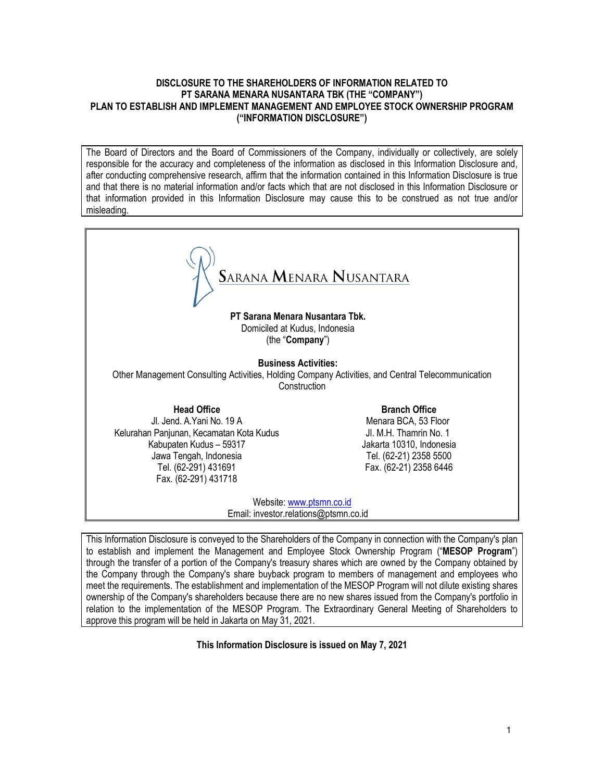### DISCLOSURE TO THE SHAREHOLDERS OF INFORMATION RELATED TO PT SARANA MENARA NUSANTARA TBK (THE "COMPANY") PLAN TO ESTABLISH AND IMPLEMENT MANAGEMENT AND EMPLOYEE STOCK OWNERSHIP PROGRAM ("INFORMATION DISCLOSURE")

The Board of Directors and the Board of Commissioners of the Company, individually or collectively, are solely responsible for the accuracy and completeness of the information as disclosed in this Information Disclosure and, after conducting comprehensive research, affirm that the information contained in this Information Disclosure is true and that there is no material information and/or facts which that are not disclosed in this Information Disclosure or that information provided in this Information Disclosure may cause this to be construed as not true and/or misleading.

SARANA MENARA NUSANTARA PT Sarana Menara Nusantara Tbk. Domiciled at Kudus, Indonesia (the "Company") Business Activities: Other Management Consulting Activities, Holding Company Activities, and Central Telecommunication **Construction** Head Office Branch Office Jl. Jend. A.Yani No. 19 A Menara BCA, 53 Floor Kelurahan Panjunan, Kecamatan Kota Kudus Jl. M.H. Thamrin No. 1 Kabupaten Kudus – 59317 Jakarta 10310, Indonesia Jawa Tengah, Indonesia Tel. (62-21) 2358 5500 Tel. (62-291) 431691 Fax. (62-21) 2358 6446 Fax. (62-291) 431718 Website: www.ptsmn.co.id Email: investor.relations@ptsmn.co.id

This Information Disclosure is conveyed to the Shareholders of the Company in connection with the Company's plan to establish and implement the Management and Employee Stock Ownership Program ("MESOP Program") through the transfer of a portion of the Company's treasury shares which are owned by the Company obtained by the Company through the Company's share buyback program to members of management and employees who meet the requirements. The establishment and implementation of the MESOP Program will not dilute existing shares ownership of the Company's shareholders because there are no new shares issued from the Company's portfolio in relation to the implementation of the MESOP Program. The Extraordinary General Meeting of Shareholders to approve this program will be held in Jakarta on May 31, 2021.

This Information Disclosure is issued on May 7, 2021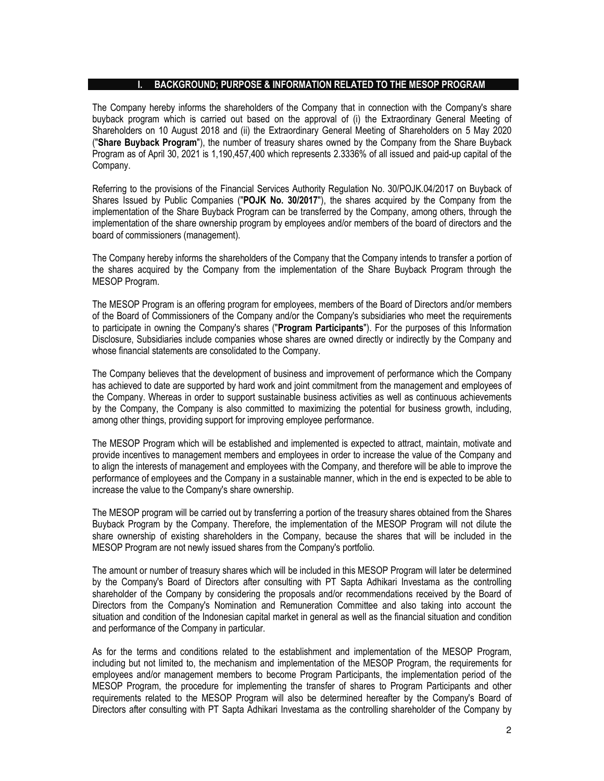#### I. BACKGROUND; PURPOSE & INFORMATION RELATED TO THE MESOP PROGRAM

The Company hereby informs the shareholders of the Company that in connection with the Company's share buyback program which is carried out based on the approval of (i) the Extraordinary General Meeting of Shareholders on 10 August 2018 and (ii) the Extraordinary General Meeting of Shareholders on 5 May 2020 ("Share Buyback Program"), the number of treasury shares owned by the Company from the Share Buyback Program as of April 30, 2021 is 1,190,457,400 which represents 2.3336% of all issued and paid-up capital of the Company.

Referring to the provisions of the Financial Services Authority Regulation No. 30/POJK.04/2017 on Buyback of Shares Issued by Public Companies ("POJK No. 30/2017"), the shares acquired by the Company from the implementation of the Share Buyback Program can be transferred by the Company, among others, through the implementation of the share ownership program by employees and/or members of the board of directors and the board of commissioners (management).

The Company hereby informs the shareholders of the Company that the Company intends to transfer a portion of the shares acquired by the Company from the implementation of the Share Buyback Program through the MESOP Program.

The MESOP Program is an offering program for employees, members of the Board of Directors and/or members of the Board of Commissioners of the Company and/or the Company's subsidiaries who meet the requirements to participate in owning the Company's shares ("Program Participants"). For the purposes of this Information Disclosure, Subsidiaries include companies whose shares are owned directly or indirectly by the Company and whose financial statements are consolidated to the Company.

The Company believes that the development of business and improvement of performance which the Company has achieved to date are supported by hard work and joint commitment from the management and employees of the Company. Whereas in order to support sustainable business activities as well as continuous achievements by the Company, the Company is also committed to maximizing the potential for business growth, including, among other things, providing support for improving employee performance.

The MESOP Program which will be established and implemented is expected to attract, maintain, motivate and provide incentives to management members and employees in order to increase the value of the Company and to align the interests of management and employees with the Company, and therefore will be able to improve the performance of employees and the Company in a sustainable manner, which in the end is expected to be able to increase the value to the Company's share ownership.

The MESOP program will be carried out by transferring a portion of the treasury shares obtained from the Shares Buyback Program by the Company. Therefore, the implementation of the MESOP Program will not dilute the share ownership of existing shareholders in the Company, because the shares that will be included in the MESOP Program are not newly issued shares from the Company's portfolio.

The amount or number of treasury shares which will be included in this MESOP Program will later be determined by the Company's Board of Directors after consulting with PT Sapta Adhikari Investama as the controlling shareholder of the Company by considering the proposals and/or recommendations received by the Board of Directors from the Company's Nomination and Remuneration Committee and also taking into account the situation and condition of the Indonesian capital market in general as well as the financial situation and condition and performance of the Company in particular.

As for the terms and conditions related to the establishment and implementation of the MESOP Program, including but not limited to, the mechanism and implementation of the MESOP Program, the requirements for employees and/or management members to become Program Participants, the implementation period of the MESOP Program, the procedure for implementing the transfer of shares to Program Participants and other requirements related to the MESOP Program will also be determined hereafter by the Company's Board of Directors after consulting with PT Sapta Adhikari Investama as the controlling shareholder of the Company by